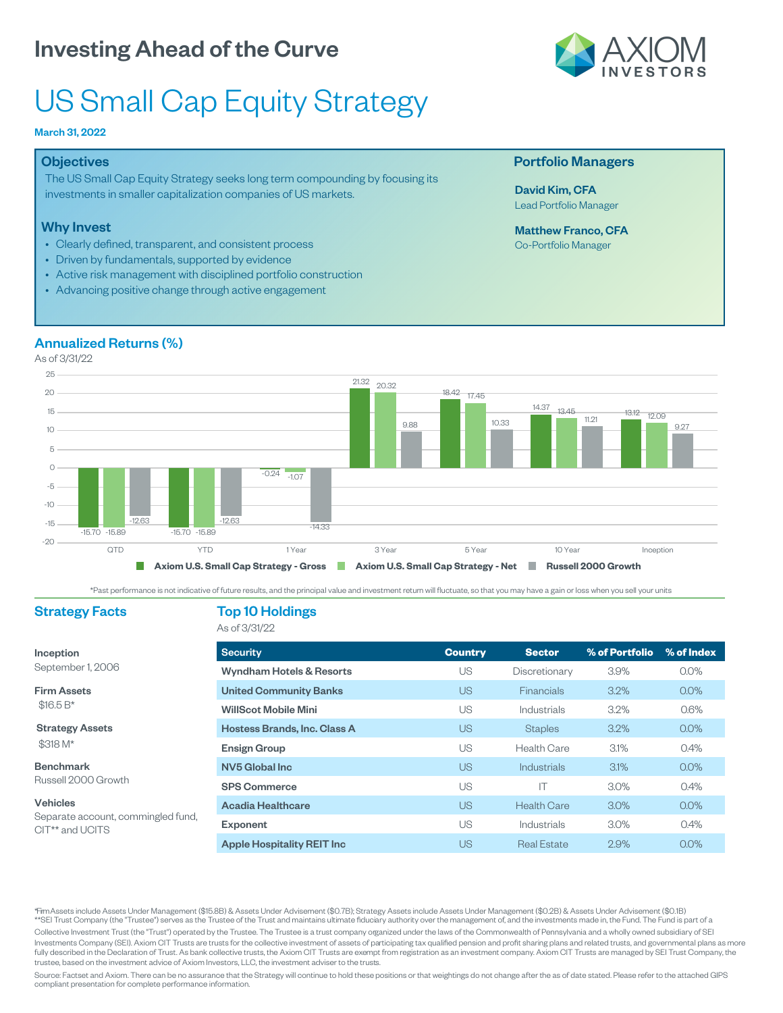# US Small Cap Equity Strategy

#### March 31, 2022

#### **Objectives**

The US Small Cap Equity Strategy seeks long term compounding by focusing its investments in smaller capitalization companies of US markets.

#### Why Invest

- Clearly defined, transparent, and consistent process
- Driven by fundamentals, supported by evidence
- Active risk management with disciplined portfolio construction
- Advancing positive change through active engagement

#### Annualized Returns (%)

As of 3/31/22



\*Past performance is not indicative of future results, and the principal value and investment return will fluctuate, so that you may have a gain or loss when you sell your units

#### Strategy Facts

Inception September 1, 2006

Firm Assets \$16.5 B\*

Vehicles

CIT\*\* and UCITS

Strategy Assets \$318 M\* Benchmark Russell 2000 Growth

Separate account, commingled fund,

#### Top 10 Holdings As of 3/31/22

Security **Country Sector % of Portfolio % of Index** Wyndham Hotels & Resorts **Night Community Community** US Discretionary 3.9% 0.0% United Community Banks **Disk Community Banks** US Financials 3.2% 0.0% WillScot Mobile Mini **No. 2008** US Industrials 3.2% 0.6% Hostess Brands, Inc. Class A COME US Staples 3.2% 0.0% **Ensign Group Carry Contract Contract Contract Contract Contract Contract Contract Contract Contract Contract Contract Contract Contract Contract Contract Contract Contract Contract Contract Contract Contract Contract Cont** NV5 Global Inc US Industrials 3.1% 0.0% SPS Commerce The US US The 3.0% 0.4% Acadia Healthcare **Acadia Healthcare US** Health Care 3.0% 0.0% **Exponent** Constant Constant Constant US Industrials 3.0% 0.4% Apple Hospitality REIT Inc **DEFAULT Inc** US Real Estate 2.9% 0.0%

Assets include Assets Under Management (\$15.8B) & Assets Under Advisement (\$0.7B); Strategy Assets include Assets Under Management (\$0.2B) & Assets Under Advisement (\$0.1B) \*\*SEI Trust Company (the "Trustee") serves as the Trustee of the Trust and maintains ultimate fiduciary authority over the management of, and the investments made in, the Fund. The Fund is part of a Collective Investment Trust (the "Trust") operated by the Trustee. The Trustee is a trust company organized under the laws of the Commonwealth of Pennsylvania and a wholly owned subsidiary of SEI Investments Company (SEI). Axiom CIT Trusts are trusts for the collective investment of assets of participating tax qualified pension and profit sharing plans and related trusts, and governmental plans as more fully described in the Declaration of Trust. As bank collective trusts, the Axiom CIT Trusts are exempt from registration as an investment company. Axiom CIT Trusts are managed by SEI Trust Company, the trustee, based on the investment advice of Axiom Investors, LLC, the investment adviser to the trusts.

Source: Factset and Axiom. There can be no assurance that the Strategy will continue to hold these positions or that weightings do not change after the as of date stated. Please refer to the attached GIPS compliant presentation for complete performance information.



#### Portfolio Managers

David Kim, CFA Lead Portfolio Manager

Matthew Franco, CFA Co-Portfolio Manager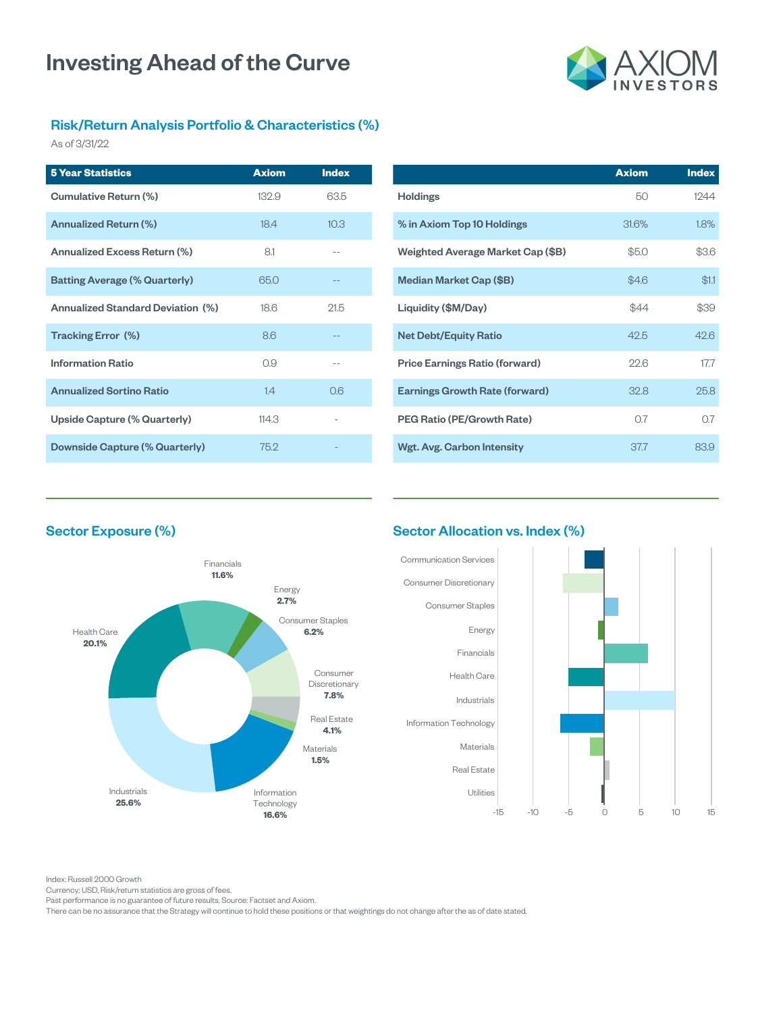

### Risk/Return Analysis Portfolio & Characteristics (%)

As of 3/31/22

| <b>5 Year Statistics</b>                 | <b>Axiom</b> | <b>Index</b> |
|------------------------------------------|--------------|--------------|
| Cumulative Return (%)                    | 132.9        | 63.5         |
| Annualized Return (%)                    | 18.4         | 10.3         |
| Annualized Excess Return (%)             | 81           | --           |
| <b>Batting Average (% Quarterly)</b>     | 65.0         |              |
| <b>Annualized Standard Deviation (%)</b> | 186          | 215          |
| Tracking Error (%)                       | 86           |              |
| <b>Information Ratio</b>                 | 0.9          | --           |
| <b>Annualized Sortino Ratio</b>          | 14           | റഭ           |
| Upside Capture (% Quarterly)             | 114.3        |              |
| Downside Capture (% Quarterly)           | 752          |              |

|                                       | <b>Axiom</b> | <b>Index</b> |
|---------------------------------------|--------------|--------------|
| <b>Holdings</b>                       | 50           | 1244         |
| % in Axiom Top 10 Holdings            | 31.6%        | 1.8%         |
| Weighted Average Market Cap (\$B)     | \$5.0        | \$3.6        |
| Median Market Cap (\$B)               | \$4.6        | \$1.1        |
| Liquidity (\$M/Day)                   | \$44         | \$39         |
| <b>Net Debt/Equity Ratio</b>          | 425          | 426          |
| <b>Price Earnings Ratio (forward)</b> | 226          | 177          |
| <b>Earnings Growth Rate (forward)</b> | 32.8         | 25.8         |
| PEG Ratio (PE/Growth Rate)            | 07           | 07           |
| Wgt. Avg. Carbon Intensity            | 377          | 83.9         |

### Sector Exposure (%)



#### Sector Allocation vs. Index (%)



Index: Russell 2000 Growth

Currency: USD, Risk/return statistics are gross of fees.

Past performance is no guarantee of future results. Source: Factset and Axiom.

There can be no assurance that the Strategy will continue to hold these positions or that weightings do not change after the as of date stated.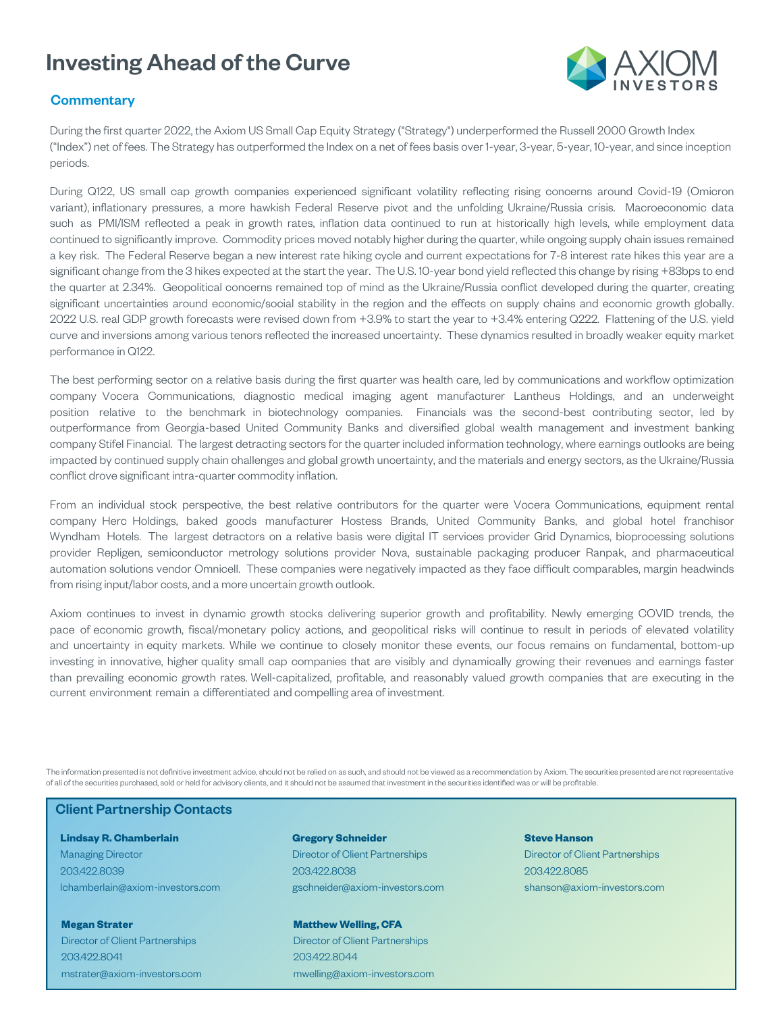

#### **Commentary**

During the first quarter 2022, the Axiom US Small Cap Equity Strategy ("Strategy") underperformed the Russell 2000 Growth Index ("Index") net of fees. The Strategy has outperformed the Index on a net of fees basis over 1-year, 3-year, 5-year, 10-year, and since inception periods.

During Q122, US small cap growth companies experienced significant volatility reflecting rising concerns around Covid-19 (Omicron variant), inflationary pressures, a more hawkish Federal Reserve pivot and the unfolding Ukraine/Russia crisis. Macroeconomic data such as PMI/ISM reflected a peak in growth rates, inflation data continued to run at historically high levels, while employment data continued to significantly improve. Commodity prices moved notably higher during the quarter, while ongoing supply chain issues remained a key risk. The Federal Reserve began a new interest rate hiking cycle and current expectations for 7-8 interest rate hikes this year are a significant change from the 3 hikes expected at the start the year. The U.S. 10-year bond yield reflected this change by rising +83bps to end the quarter at 2.34%. Geopolitical concerns remained top of mind as the Ukraine/Russia conflict developed during the quarter, creating significant uncertainties around economic/social stability in the region and the effects on supply chains and economic growth globally. 2022 U.S. real GDP growth forecasts were revised down from +3.9% to start the year to +3.4% entering Q222. Flattening of the U.S. yield curve and inversions among various tenors reflected the increased uncertainty. These dynamics resulted in broadly weaker equity market performance in Q122.

The best performing sector on a relative basis during the first quarter was health care, led by communications and workflow optimization company Vocera Communications, diagnostic medical imaging agent manufacturer Lantheus Holdings, and an underweight position relative to the benchmark in biotechnology companies. Financials was the second-best contributing sector, led by outperformance from Georgia-based United Community Banks and diversified global wealth management and investment banking company Stifel Financial. The largest detracting sectors for the quarter included information technology, where earnings outlooks are being impacted by continued supply chain challenges and global growth uncertainty, and the materials and energy sectors, as the Ukraine/Russia conflict drove significant intra-quarter commodity inflation.

From an individual stock perspective, the best relative contributors for the quarter were Vocera Communications, equipment rental company Herc Holdings, baked goods manufacturer Hostess Brands, United Community Banks, and global hotel franchisor Wyndham Hotels. The largest detractors on a relative basis were digital IT services provider Grid Dynamics, bioprocessing solutions provider Repligen, semiconductor metrology solutions provider Nova, sustainable packaging producer Ranpak, and pharmaceutical automation solutions vendor Omnicell. These companies were negatively impacted as they face difficult comparables, margin headwinds from rising input/labor costs, and a more uncertain growth outlook.

Axiom continues to invest in dynamic growth stocks delivering superior growth and profitability. Newly emerging COVID trends, the pace of economic growth, fiscal/monetary policy actions, and geopolitical risks will continue to result in periods of elevated volatility and uncertainty in equity markets. While we continue to closely monitor these events, our focus remains on fundamental, bottom-up investing in innovative, higher quality small cap companies that are visibly and dynamically growing their revenues and earnings faster than prevailing economic growth rates. Well-capitalized, profitable, and reasonably valued growth companies that are executing in the current environment remain a differentiated and compelling area of investment.

The information presented is not definitive investment advice, should not be relied on as such, and should not be viewed as a recommendation by Axiom. The securities presented are not representative of all of the securities purchased, sold or held for advisory clients, and it should not be assumed that investment in the securities identified was or will be profitable.

#### Client Partnership Contacts

#### **Lindsay R. Chamberlain** Managing Director 203.422.8039 lchamberlain@axiom-investors.com

**Megan Strater** Director of Client Partnerships 203.422.8041 mstrater@axiom-investors.com

#### **Gregory Schneider** Director of Client Partnerships 203.422.8038 gschneider@axiom-investors.com

**Matthew Welling, CFA** Director of Client Partnerships 203.422.8044 mwelling@axiom-investors.com

#### **Steve Hanson** Director of Client Partnerships 203.422.8085

shanson@axiom-investors.com